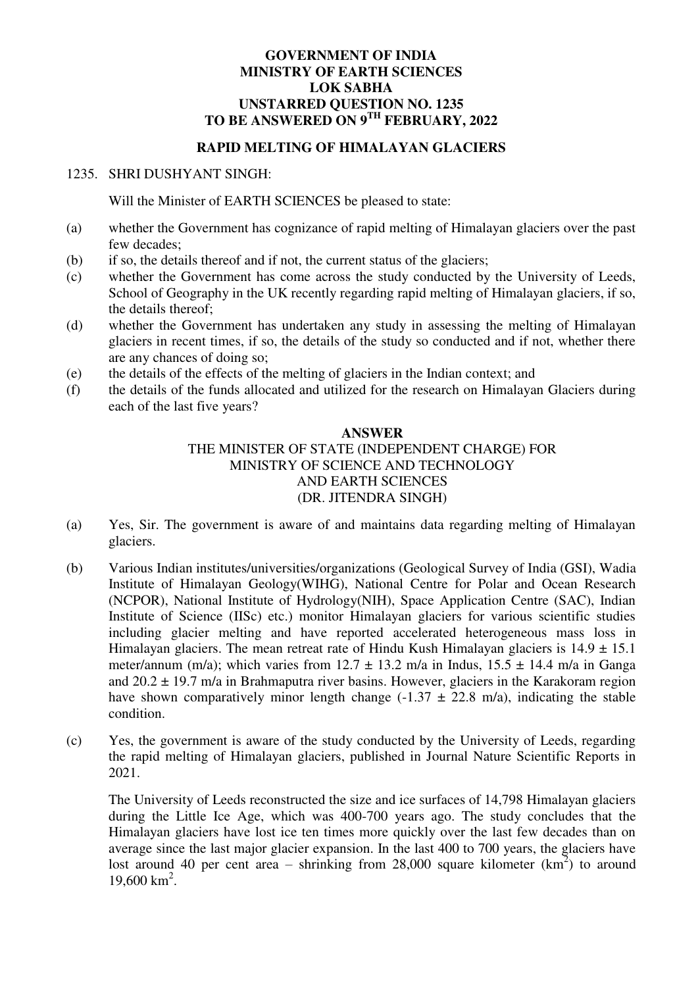## **GOVERNMENT OF INDIA MINISTRY OF EARTH SCIENCES LOK SABHA UNSTARRED QUESTION NO. 1235 TO BE ANSWERED ON 9TH FEBRUARY, 2022**

## **RAPID MELTING OF HIMALAYAN GLACIERS**

## 1235. SHRI DUSHYANT SINGH:

Will the Minister of EARTH SCIENCES be pleased to state:

- (a) whether the Government has cognizance of rapid melting of Himalayan glaciers over the past few decades;
- (b) if so, the details thereof and if not, the current status of the glaciers;
- (c) whether the Government has come across the study conducted by the University of Leeds, School of Geography in the UK recently regarding rapid melting of Himalayan glaciers, if so, the details thereof;
- (d) whether the Government has undertaken any study in assessing the melting of Himalayan glaciers in recent times, if so, the details of the study so conducted and if not, whether there are any chances of doing so;
- (e) the details of the effects of the melting of glaciers in the Indian context; and
- (f) the details of the funds allocated and utilized for the research on Himalayan Glaciers during each of the last five years?

## **ANSWER**  THE MINISTER OF STATE (INDEPENDENT CHARGE) FOR MINISTRY OF SCIENCE AND TECHNOLOGY AND EARTH SCIENCES (DR. JITENDRA SINGH)

- (a) Yes, Sir. The government is aware of and maintains data regarding melting of Himalayan glaciers.
- (b) Various Indian institutes/universities/organizations (Geological Survey of India (GSI), Wadia Institute of Himalayan Geology(WIHG), National Centre for Polar and Ocean Research (NCPOR), National Institute of Hydrology(NIH), Space Application Centre (SAC), Indian Institute of Science (IISc) etc.) monitor Himalayan glaciers for various scientific studies including glacier melting and have reported accelerated heterogeneous mass loss in Himalayan glaciers. The mean retreat rate of Hindu Kush Himalayan glaciers is  $14.9 \pm 15.1$ meter/annum (m/a); which varies from  $12.7 \pm 13.2$  m/a in Indus,  $15.5 \pm 14.4$  m/a in Ganga and  $20.2 \pm 19.7$  m/a in Brahmaputra river basins. However, glaciers in the Karakoram region have shown comparatively minor length change  $(-1.37 \pm 22.8 \text{ m/a})$ , indicating the stable condition.
- (c) Yes, the government is aware of the study conducted by the University of Leeds, regarding the rapid melting of Himalayan glaciers, published in Journal Nature Scientific Reports in 2021.

The University of Leeds reconstructed the size and ice surfaces of 14,798 Himalayan glaciers during the Little Ice Age, which was 400-700 years ago. The study concludes that the Himalayan glaciers have lost ice ten times more quickly over the last few decades than on average since the last major glacier expansion. In the last 400 to 700 years, the glaciers have lost around 40 per cent area – shrinking from 28,000 square kilometer  $(km^2)$  to around 19,600 km<sup>2</sup> .